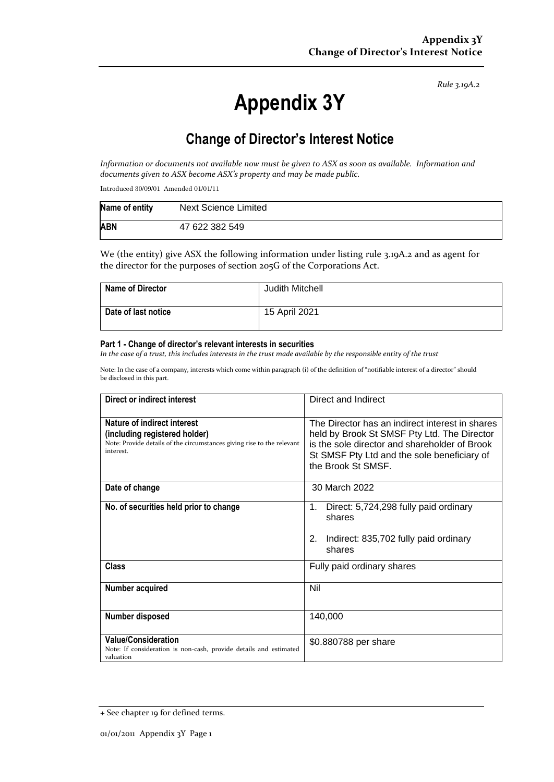*Rule 3.19A.2*

# **Appendix 3Y**

# **Change of Director's Interest Notice**

*Information or documents not available now must be given to ASX as soon as available. Information and documents given to ASX become ASX's property and may be made public.*

Introduced 30/09/01 Amended 01/01/11

| Name of entity | Next Science Limited |
|----------------|----------------------|
| <b>ABN</b>     | 47 622 382 549       |

We (the entity) give ASX the following information under listing rule 3.19A.2 and as agent for the director for the purposes of section 205G of the Corporations Act.

| <b>Name of Director</b> | Judith Mitchell |
|-------------------------|-----------------|
| Date of last notice     | 15 April 2021   |

#### **Part 1 - Change of director's relevant interests in securities**

*In the case of a trust, this includes interests in the trust made available by the responsible entity of the trust*

Note: In the case of a company, interests which come within paragraph (i) of the definition of "notifiable interest of a director" should be disclosed in this part.

| Direct or indirect interest                                                                                                                         | Direct and Indirect                                                                                                                                                                                                  |  |
|-----------------------------------------------------------------------------------------------------------------------------------------------------|----------------------------------------------------------------------------------------------------------------------------------------------------------------------------------------------------------------------|--|
| Nature of indirect interest<br>(including registered holder)<br>Note: Provide details of the circumstances giving rise to the relevant<br>interest. | The Director has an indirect interest in shares<br>held by Brook St SMSF Pty Ltd. The Director<br>is the sole director and shareholder of Brook<br>St SMSF Pty Ltd and the sole beneficiary of<br>the Brook St SMSF. |  |
| Date of change                                                                                                                                      | 30 March 2022                                                                                                                                                                                                        |  |
| No. of securities held prior to change                                                                                                              | 1 <sub>1</sub><br>Direct: 5,724,298 fully paid ordinary<br>shares<br>2.<br>Indirect: 835,702 fully paid ordinary<br>shares                                                                                           |  |
| Class                                                                                                                                               | Fully paid ordinary shares                                                                                                                                                                                           |  |
| Number acquired                                                                                                                                     | Nil                                                                                                                                                                                                                  |  |
| Number disposed                                                                                                                                     | 140,000                                                                                                                                                                                                              |  |
| <b>Value/Consideration</b><br>Note: If consideration is non-cash, provide details and estimated<br>valuation                                        | \$0.880788 per share                                                                                                                                                                                                 |  |

<sup>+</sup> See chapter 19 for defined terms.